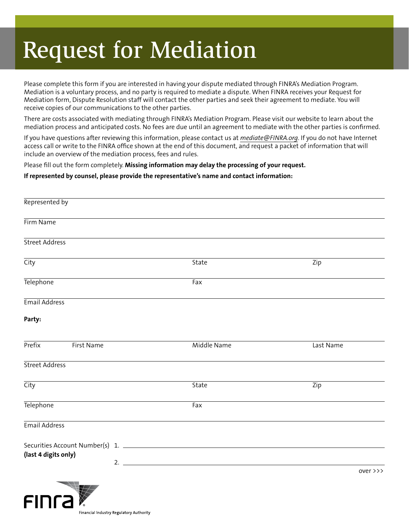## Request for Mediation

Please complete this form if you are interested in having your dispute mediated through FINRA's Mediation Program. Mediation is a voluntary process, and no party is required to mediate a dispute. When FINRA receives your Request for Mediation form, Dispute Resolution staff will contact the other parties and seek their agreement to mediate. You will receive copies of our communications to the other parties.

There are costs associated with mediating through FINRA's Mediation Program. Please visit our website to learn about the mediation process and anticipated costs. No fees are due until an agreement to mediate with the other parties is confirmed.

If you have questions after reviewing this information, please contact us at *mediate@FINRA.org*. If you do not have Internet access call or write to the FINRA office shown at the end of this document, and request a packet of information that will include an overview of the mediation process, fees and rules.

Please fill out the form completely. **Missing information may delay the processing of your request.**

## **If represented by counsel, please provide the representative's name and contact information:**

| Represented by        |              |                        |
|-----------------------|--------------|------------------------|
| Firm Name             |              |                        |
| <b>Street Address</b> |              |                        |
| City                  | State        | $\overline{Zip}$       |
| Telephone             | Fax          |                        |
| <b>Email Address</b>  |              |                        |
| Party:                |              |                        |
| Prefix<br>First Name  | Middle Name  | Last Name              |
| <b>Street Address</b> |              |                        |
| City                  | <b>State</b> | Zip                    |
| Telephone             | Fax          |                        |
| Email Address         |              |                        |
| (last 4 digits only)  | 2.           |                        |
|                       |              | over $\rightarrow$ $>$ |

Financial Industry Regulatory Authority

FINTA **X**